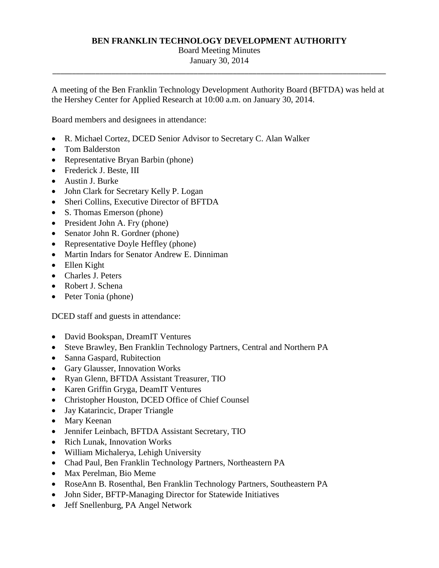### **BEN FRANKLIN TECHNOLOGY DEVELOPMENT AUTHORITY**

# Board Meeting Minutes

\_\_\_\_\_\_\_\_\_\_\_\_\_\_\_\_\_\_\_\_\_\_\_\_\_\_\_\_\_\_\_\_\_\_\_\_\_\_\_\_\_\_\_\_\_\_\_\_\_\_\_\_\_\_\_\_\_\_\_\_\_\_\_\_\_\_\_\_\_\_\_\_\_\_\_\_\_\_\_\_\_\_\_\_\_ January 30, 2014

A meeting of the Ben Franklin Technology Development Authority Board (BFTDA) was held at the Hershey Center for Applied Research at 10:00 a.m. on January 30, 2014.

Board members and designees in attendance:

- R. Michael Cortez, DCED Senior Advisor to Secretary C. Alan Walker
- Tom Balderston
- Representative Bryan Barbin (phone)
- Frederick J. Beste, III
- Austin J. Burke
- John Clark for Secretary Kelly P. Logan
- Sheri Collins, Executive Director of BFTDA
- S. Thomas Emerson (phone)
- President John A. Fry (phone)
- Senator John R. Gordner (phone)
- Representative Doyle Heffley (phone)
- Martin Indars for Senator Andrew E. Dinniman
- Ellen Kight
- Charles J. Peters
- Robert J. Schena
- Peter Tonia (phone)

DCED staff and guests in attendance:

- David Bookspan, DreamIT Ventures
- Steve Brawley, Ben Franklin Technology Partners, Central and Northern PA
- Sanna Gaspard, Rubitection
- Gary Glausser, Innovation Works
- Ryan Glenn, BFTDA Assistant Treasurer, TIO
- Karen Griffin Gryga, DeamIT Ventures
- Christopher Houston, DCED Office of Chief Counsel
- Jay Katarincic, Draper Triangle
- Mary Keenan
- Jennifer Leinbach, BFTDA Assistant Secretary, TIO
- Rich Lunak, Innovation Works
- William Michalerya, Lehigh University
- Chad Paul, Ben Franklin Technology Partners, Northeastern PA
- Max Perelman, Bio Meme
- RoseAnn B. Rosenthal, Ben Franklin Technology Partners, Southeastern PA
- John Sider, BFTP-Managing Director for Statewide Initiatives
- Jeff Snellenburg, PA Angel Network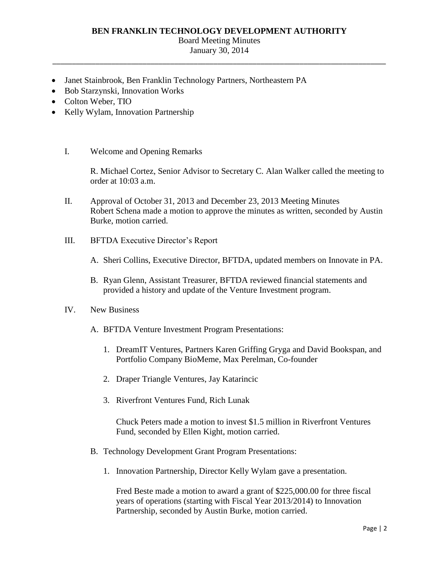### **BEN FRANKLIN TECHNOLOGY DEVELOPMENT AUTHORITY**

#### Board Meeting Minutes

\_\_\_\_\_\_\_\_\_\_\_\_\_\_\_\_\_\_\_\_\_\_\_\_\_\_\_\_\_\_\_\_\_\_\_\_\_\_\_\_\_\_\_\_\_\_\_\_\_\_\_\_\_\_\_\_\_\_\_\_\_\_\_\_\_\_\_\_\_\_\_\_\_\_\_\_\_\_\_\_\_\_\_\_\_ January 30, 2014

- Janet Stainbrook, Ben Franklin Technology Partners, Northeastern PA
- Bob Starzynski, Innovation Works
- Colton Weber, TIO
- Kelly Wylam, Innovation Partnership
	- I. Welcome and Opening Remarks

 R. Michael Cortez, Senior Advisor to Secretary C. Alan Walker called the meeting to order at 10:03 a.m.

- II. Approval of October 31, 2013 and December 23, 2013 Meeting Minutes Robert Schena made a motion to approve the minutes as written, seconded by Austin Burke, motion carried.
- III. BFTDA Executive Director's Report
	- A. Sheri Collins, Executive Director, BFTDA, updated members on Innovate in PA.
	- B. Ryan Glenn, Assistant Treasurer, BFTDA reviewed financial statements and provided a history and update of the Venture Investment program.
- IV. New Business
	- A. BFTDA Venture Investment Program Presentations:
		- 1. DreamIT Ventures, Partners Karen Griffing Gryga and David Bookspan, and Portfolio Company BioMeme, Max Perelman, Co-founder
		- 2. Draper Triangle Ventures, Jay Katarincic
		- 3. Riverfront Ventures Fund, Rich Lunak

Chuck Peters made a motion to invest \$1.5 million in Riverfront Ventures Fund, seconded by Ellen Kight, motion carried.

- B. Technology Development Grant Program Presentations:
	- 1. Innovation Partnership, Director Kelly Wylam gave a presentation.

 Partnership, seconded by Austin Burke, motion carried. Fred Beste made a motion to award a grant of \$[225,000.00](https://225,000.00) for three fiscal years of operations (starting with Fiscal Year 2013/2014) to Innovation